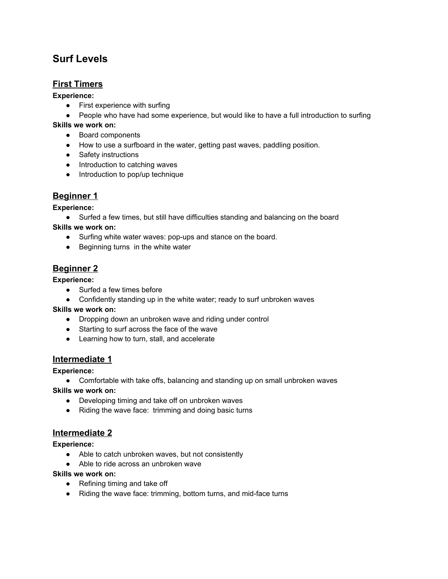# **Surf Levels**

### **First Timers**

**Experience:**

- First experience with surfing
- People who have had some experience, but would like to have a full introduction to surfing

**Skills we work on:**

- Board components
- How to use a surfboard in the water, getting past waves, paddling position.
- Safety instructions
- Introduction to catching waves
- Introduction to pop/up technique

## **Beginner 1**

**Experience:**

● Surfed a few times, but still have difficulties standing and balancing on the board

**Skills we work on:**

- Surfing white water waves: pop-ups and stance on the board.
- Beginning turns in the white water

## **Beginner 2**

**Experience:**

- Surfed a few times before
- Confidently standing up in the white water; ready to surf unbroken waves

**Skills we work on:**

- Dropping down an unbroken wave and riding under control
- Starting to surf across the face of the wave
- Learning how to turn, stall, and accelerate

### **Intermediate 1**

**Experience:**

● Comfortable with take offs, balancing and standing up on small unbroken waves

**Skills we work on:**

- Developing timing and take off on unbroken waves
- Riding the wave face: trimming and doing basic turns

#### **Intermediate 2**

**Experience:**

- Able to catch unbroken waves, but not consistently
- Able to ride across an unbroken wave

**Skills we work on:**

- Refining timing and take off
- Riding the wave face: trimming, bottom turns, and mid-face turns